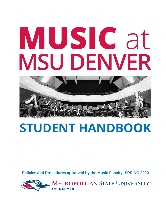# MUSIC at **MSU DENVER**



# **STUDENT HANDBOOK**

**Policies and Procedures approved by the Music Faculty: SPRING 2020**

**METROPOLITAN STATE UNIVERSITY**\*\*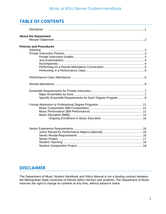# **TABLE OF CONTENTS**

| <b>Disclaimer</b>                          |
|--------------------------------------------|
| <b>About the Department</b>                |
| <b>Policies and Procedures</b><br>Advising |
|                                            |
|                                            |
|                                            |
|                                            |
|                                            |

# **DISCLAIMER**

The Department of Music Student Handbook and Policy Manual is not a binding contract between the Metropolitan State University of Denver (MSU Denver) and students. The Department of Music reserves the right to change its contents at any time, without advance notice.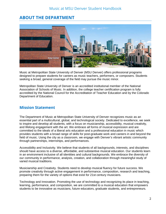# **ABOUT THE DEPARTMENT**



Music at Metropolitan State University of Denver (MSU Denver) offers professional programs designed to prepare students for careers as music teachers, performers, or composers. Students seeking a broad, general coverage of the field may pursue the music minor.

Metropolitan State University of Denver is an accredited institutional member of the National Association of Schools of Music. In addition, the college teacher certification program is fully accredited by the National Council for the Accreditation of Teacher Education and by the Colorado Department of Education.

# **Mission Statement**

The Department of Music at Metropolitan State University of Denver recognizes music as an essential part of a multicultural, global, and technological society. Dedicated to excellence, we seek to inspire and develop all students, with a focus on musicianship, accessibility, musical creativity, and lifelong engagement with the art. We embrace all forms of musical expression and are committed to the ideals of a liberal arts education and a professional education in music which provides students with a broad range of skills for post-graduate work and careers in and beyond the field of music. Using the city as a classroom, we engage with Denver's vibrant artistic community through partnerships, internships, and performances.

Accessibility and Inclusivity. We believe that students of all backgrounds, interests, and disciplines should have access to a diverse, affordable, and substantive musical education. Our students learn in an environment inclusive of all identities and cultural backgrounds. We embrace the diversity of our community in performance, analysis, creation, and collaboration through meaningful study of varied musical traditions.

Musicianship and Creativity. Students need to develop musical fluency for future success. We promote creativity through active engagement in performance, composition, research and teaching, preparing them for the variety of options that exist for 21st century musicians.

Technology and Innovation. Promoting the use of technology and recognizing its place in teaching, learning, performance, and composition, we are committed to a musical education that empowers students to be innovative as musicians, future educators, graduate students, and entrepreneurs.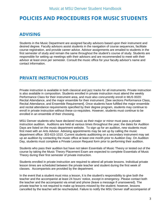# **POLICIES AND PROCEDURES FOR MUSIC STUDENTS**

# **ADVISING**

Students in the Music Department are assigned faculty advisors based upon their instrument and desired degree. Faculty advisors assist students in the navigation of course sequences, facilitate course registration, and provide career advice. Advisor assignments are emailed to students in the first semester of study and remain the same throughout the student's course of study. Students are responsible for setting up meetings with their advisors and are recommended to meet with their advisor at least once per semester. Consult the music office for your faculty advisor's name and contact information.

# **PRIVATE INSTRUCTION POLICIES**

Private instruction is available in both classical and jazz tracks for all instruments. Private instruction is also available in composition. Students enrolled in private instruction must attend the weekly Performance Class for their instrument area, and must also concurrently enroll in MUS 0020: Recital Attendance, and the major ensemble for their instrument. [See sections Performance Class, Recital Attendance, and Ensemble Requirement]. Once students have fulfilled the major ensemble and recital attendance requirements specified by their degree program, students may continue to enroll in private instruction without these co-requisites. However, students must continue to be enrolled in an ensemble of their choosing.

MSU Denver students who have declared music as their major or minor must pass a private instruction audition. Auditions are held at various times throughout the year; the dates for Audition Days are listed on the music department website. To sign up for an audition, new students must first meet with an Arts Advisor. Advising appointments may be set up by calling the music department office: 303-615-1010. Current students auditioning on a secondary instrument may set up an audition by contacting the music office at least one month prior to Audition Day. On Audition Day, students must complete a Private Lesson Request form prior to performing their audition.

Students who pass their audition but have not taken Essentials of Music Theory or tested out of the course by taking the Music Theory Placement Exam are expected to complete Essentials of Music Theory during their first semester of private instruction.

Students enrolled in private instruction are required to attend all private lessons. Individual private lesson times are scheduled between the private teacher and student during the first week of classes. Accompanists are provided by the department.

In the event that a student must miss a lesson, it is the student's responsibility to give both the teacher and the accompanist at least 24 hours' notice, except in emergency. Please contact both the teacher and the accompanist via email and phone (leave a message if unanswered). The private teacher is not required to make up lessons missed by the student; however, lessons cancelled by the teacher will be rescheduled. Failure to notify the MSU Denver staff accompanist of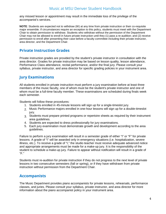any missed lesson or appointment may result in the immediate loss of the privilege of the accompanist's services.

**NOTE**: Students are expected not to withdraw (W) at any time from private instruction or their co-requisite major ensemble. If circumstances require an exception to this policy, students must meet with the Department Chair to obtain permission to withdraw. Students who withdraw without the permission of the Department Chair may not be allowed to enroll in future private instruction until they (1) pass a re-audition; and (2) receive permission to enroll after presenting their case before a faculty committee including their private instructor, area director, and the Department Chair.

# **Private Instruction Grades**

Private instruction grades are provided by the student's private instructor in consultation with the area director. Grades for private instruction may be based on lesson quality, lesson attendance, Performance Class attendance, recital performance, and/or the final jury. Please consult your syllabus, private instructor, and area director for specific grading policies in your instrument area.

# **Jury Examinations**

All students enrolled in private instruction must perform a jury examination before at least three members of the music faculty, one of whom must be the student's private instructor and one of whom must be a full-time faculty member. These examinations are scheduled during finals week each semester.

Students will follow these procedures:

- 1. Students enrolled in 45-minute lessons will sign up for a single-timeslot jury.
- 2. Music Performance majors enrolled in one-hour lessons will sign up for a double-timeslot jury.
- 3. Students must prepare printed programs or repertoire sheets as required by their instrument area guidelines.
- 4. Students are expected to dress professionally for jury examinations.
- 5. Each jury examination must demonstrate growth and development according to the area guidelines.

Failure to perform a jury examination will result in a semester grade of either "I" or "F" for private lessons. A grade of "I" will be awarded only in emergency situations (i.e. hospitalization, severe illness, etc.). To receive a grade of "I," the studio teacher must receive adequate advanced notice and appropriate arrangements must be made for a make-up jury. It is the responsibility of the student to schedule a make-up jury. Failure to appear without notification will result in a grade of "F."

Students must re-audition for private instruction if they do not progress to the next level of private lessons in two consecutive semesters (fall or spring), or if they have withdrawn from private instruction without permission from the Department Chair.

# **Accompanists**

The Music Department provides piano accompanists for private lessons, rehearsals, performance classes, and juries. Please consult your syllabus, private instructor, and area director for more information about the piano accompanist policy in your instrument area.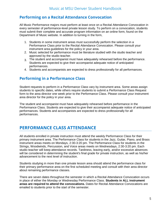# **Performing on a Recital Attendance Convocation**

All Music Performance majors must perform at least once on a Recital Attendance Convocation in every semester of performance-level private lesson study. To perform on a convocation, students must submit their complete and accurate program information on an online form, found on the Department of Music website. In addition to turning in the form,

- 1. Students in some instrument areas must successfully perform the selection in a Performance Class prior to the Recital Attendance Convocation. Please consult your instrument area guidelines for the policy in your area.
- 2. Music selected for performance must be literature studied with the studio teacher and approved by the studio teacher.
- 3. The student and accompanist must have adequately rehearsed before the performance. Students are expected to give their accompanist adequate notice of anticipated performances.
- 4. Students and accompanists are expected to dress professionally for all performances.

# **Performing in a Performance Class**

Student requests to perform in a Performance Class vary by instrument area. Some areas assign students to specific dates, while others require students to submit a Performance Class Request form to the area director one week prior to the Performance Class. Please consult your instrument area director for the policy in your area.

The student and accompanist must have adequately rehearsed before performance in the Performance Class. Students are expected to give their accompanist adequate notice of anticipated performances. Students and accompanists are expected to dress professionally for all performances.

# **PERFORMANCE CLASS ATTENDANCE**

All students enrolled in private instruction must attend the weekly Performance Class for their primary instrument area. The Performance Class for students in the Jazz, Guitar, Piano, and Brass instrument areas meets on Mondays, 2:30-3:20 pm. The Performance Class for students in the Strings, Woodwinds, Percussion, and Voice areas meets on Wednesdays, 2:30-3:20 pm. Each studio teacher will keep attendance records. Tardiness, leaving early, and/or excessive absences will be considered in determining the student's final grade for private instruction, as well as his/her advancement to the next level of instruction.

Students studying in more than one private lesson area should attend the performance class for their primary performance area on the first scheduled meeting and consult with their area director about remaining performance classes.

There are seven dates throughout the semester in which a Recital Attendance Convocation occurs in place of either the Monday or Wednesday Performance Class. **Students in ALL instrument areas are required to attend the convocations.** Dates for Recital Attendance Convocations are emailed to students prior to the start of the semester.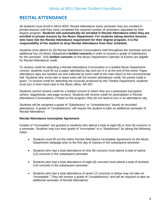# **RECITAL ATTENDANCE**

All students must enroll in MUS 0020: Recital Attendance every semester they are enrolled in private lessons until they have completed the required number of semesters stipulated by their degree program. **Students will automatically be enrolled in Recital Attendance when they are enrolled in private lessons by the Music Department. For students taking elective lessons who have met the Recital Attendance requirement for their degree program, it is the responsibility of the student to drop Recital Attendance from their schedule.**

Students must attend six (6) Recital Attendance Convocations held throughout the semester and an additional four (4) Music Department **bolded concerts** in order to receive a grade of Satisfactory for the semester. Only **bolded concerts** on the Music Department Calendar of Events are eligible for Recital Attendance credit.

To receive credit for attending a Recital Attendance Convocation or a bolded Music Department concert, students must fill out a paper attendance slip and turn it in at the end of the event. Paper attendance slips are handed out and collected by event staff at the main doors to the concert/recital hall. Students who arrive late or leave early will not receive attendance credit. No partial credit is given. To receive credit for attending the musicals produced by the Theatre Department, students must turn in their ticket stub to the Music office, AR-287.

Students cannot receive credit for a bolded concert in which they are a participant (exception: ushers, stagehands, and page turners). Students will receive credit for participation in Recital Attendance Convocations; if listed on the program, they do not need to turn in an attendance slip.

Students will be assigned a grade of "Satisfactory" or "Unsatisfactory" based on recorded attendance. A grade of "Unsatisfactory" will require the student to take an additional semester of Recital Attendance.

#### **Recital Attendance Incomplete Agreement**

Grades of "Incomplete" are granted to students who attend a total of eight (8) or nine (9) concerts in a semester. Students may turn their grade of "Incomplete" to a "Satisfactory" by taking the following steps:

- Students must fill out the online Recital Attendance Incomplete Agreement on the Music Department webpage prior to the first day of classes in the subsequent semester.
- Students who had a total attendance of nine (9) concerts must attend a total of twelve (12) concerts in the subsequent semester.
- Students who had a total attendance of eight (8) concerts must attend a total of fourteen (14) concerts in the subsequent semester.
- Students who had a total attendance of seven (7) concerts or below may not take an "Incomplete." They will receive a grade of "Unsatisfactory" and will be required to take an additional semester of Recital Attendance.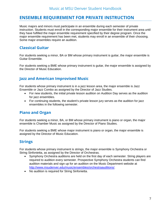# **ENSEMBLE REQUIREMENT FOR PRIVATE INSTRUCTION**

Music majors and minors must participate in an ensemble during each semester of private instruction. Students must enroll in the corresponding major ensemble for their instrument area until they have fulfilled the major ensemble requirement specified by their degree program. Once the major ensemble requirement has been met, students may enroll in an ensemble of their choosing. Some major ensembles require an audition.

# **Classical Guitar**

For students seeking a minor, BA or BM whose primary instrument is guitar, the major ensemble is Guitar Ensemble.

For students seeking a BME whose primary instrument is guitar, the major ensemble is assigned by the Director of Music Education.

# **Jazz and American Improvised Music**

For students whose primary instrument is in a jazz lesson area, the major ensemble is Jazz Ensemble or Jazz Combo as assigned by the Director of Jazz Studies.

- For new students, the initial private lesson audition on Audition Day serves as the audition for jazz ensembles.
- For continuing students, the student's private lesson jury serves as the audition for jazz ensembles in the following semester.

# **Piano and Organ**

For students seeking a minor, BA, or BM whose primary instrument is piano or organ, the major ensemble is Chamber Music as assigned by the Director of Piano Studies.

For students seeking a BME whose major instrument is piano or organ, the major ensemble is assigned by the Director of Music Education.

# **Strings**

For students whose primary instrument is strings, the major ensemble is Symphony Orchestra or String Sinfonietta, as assigned by the Director of Orchestras.

- Symphony Orchestra auditions are held on the first day of each semester. String players are required to audition every semester. Prospective Symphony Orchestra students can find audition materials and sign up for an audition on the Music Department website at [http://www.msudenver.edu/music/ensembles/orchestraauditions/.](http://www.msudenver.edu/music/ensembles/orchestraauditions/)
- No audition is required for String Sinfonietta.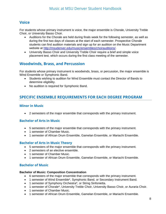# **Voice**

For students whose primary instrument is voice, the major ensemble is Chorale, University Treble Choir, or University Basso Choir.

- Auditions for the Chorale are held during finals week for the following semester, as well as during the first two days of classes at the start of each semester. Prospective Chorale students can find audition materials and sign up for an audition on the Music Department website at [http://msudenver.edu/music/ensembles/choirauditions/.](http://msudenver.edu/music/ensembles/choirauditions/)
- University Basso Choir and University Treble Choir require a brief and simple voice placement test, which occurs during the first class meeting of the semester.

# **Woodwinds, Brass, and Percussion**

For students whose primary instrument is woodwinds, brass, or percussion, the major ensemble is Wind Ensemble or Symphonic Band.

- Students wishing to audition for Wind Ensemble must contact the Director of Bands to determine eligibility.
- No audition is required for Symphonic Band.

# **SPECIFIC ENSEMBLE REQUIREMENTS FOR EACH DEGREE PROGRAM**

#### **Minor in Music**

• 2 semesters of the major ensemble that corresponds with the primary instrument.

#### **Bachelor of Arts in Music**

- 5 semesters of the major ensemble that corresponds with the primary instrument.
- 1 semester of Chamber Music.
- 1 semester of African Drum Ensemble, Gamelan Ensemble, or Mariachi Ensemble.

#### **Bachelor of Arts in Music Theory**

- 5 semesters of the major ensemble that corresponds with the primary instrument.
- 2 semesters of an elective ensemble.
- 1 semester of Chamber Music.
- 1 semester of African Drum Ensemble, Gamelan Ensemble, or Mariachi Ensemble.

#### **Bachelor of Music**

#### **Bachelor of Music: Composition Concentration**

- 6 semesters of the major ensemble that corresponds with the primary instrument.
- 1 semester of Wind Ensemble\*, Symphonic Band, or Secondary Instrument Band.
- 1 semester of Symphony Orchestra\*, or String Sinfonietta.
- 1 semester of Chorale\*, University Treble Choir, University Basso Choir, or Auraria Choir.
- 1 semester of Chamber Music.
- 1 semester of African Drum Ensemble, Gamelan Ensemble, or Mariachi Ensemble.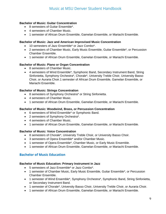#### **Bachelor of Music: Guitar Concentration**

- 8 semesters of Guitar Ensemble\*.
- 4 semesters of Chamber Music.
- 1 semester of African Drum Ensemble, Gamelan Ensemble, or Mariachi Ensemble.

#### **Bachelor of Music: Jazz and American Improvised Music Concentration**

- 10 semesters of Jazz Ensemble\* or Jazz Combo\*.
- 2 semesters of Chamber Music, Early Music Ensemble, Guitar Ensemble\*, or Percussion Chamber Ensemble.
- 1 semester of African Drum Ensemble, Gamelan Ensemble, or Mariachi Ensemble.

#### **Bachelor of Music: Piano or Organ Concentration**

- 8 semesters of Chamber Music.
- 4 semesters of Wind Ensemble\*, Symphonic Band, Secondary Instrument Band, String Sinfonietta, Symphony Orchestra\*, Chorale\*, University Treble Choir, University Basso Choir, or Auraria Choir.1 semester of African Drum Ensemble, Gamelan Ensemble, or Mariachi Ensemble.

#### **Bachelor of Music: Strings Concentration**

- 8 semesters of Symphony Orchestra\* or String Sinfonietta.
- 4 semesters of Chamber Music.
- 1 semester of African Drum Ensemble, Gamelan Ensemble, or Mariachi Ensemble.

#### **Bachelor of Music: Woodwind, Brass, or Percussion Concentration**

- 6 semesters of Wind Ensemble\* or Symphonic Band.
- 2 semesters of Symphony Orchestra\*.
- 4 semesters of Chamber Music.
- 1 semester of African Drum Ensemble, Gamelan Ensemble, or Mariachi Ensemble.

#### **Bachelor of Music: Voice Concentration**

- 8 semesters of Chorale\*, University Treble Choir, or University Basso Choir.
- 3 semesters of Opera Ensemble\* and/or Chamber Music.
- 1 semester of Opera Ensemble\*, Chamber Music, or Early Music Ensemble.
- 1 semester of African Drum Ensemble, Gamelan Ensemble, or Mariachi Ensemble.

#### **Bachelor of Music Education**

#### **Bachelor of Music Education: Primary Instrument in Jazz**

- 5 semesters of Jazz Ensemble\* or Jazz Combo\*.
- 1 semester of Chamber Music, Early Music Ensemble, Guitar Ensemble\*, or Percussion Chamber Ensemble.
- 1 semester of Wind Ensemble\*, Symphony Orchestra\*, Symphonic Band, String Sinfonietta, or Secondary Instrument Band.
- 1 semester of Chorale\*, University Basso Choir, University Treble Choir, or Auraria Choir.
- 1 semester of African Drum Ensemble, Gamelan Ensemble, or Mariachi Ensemble.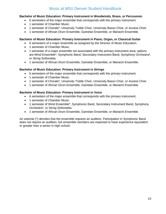#### **Bachelor of Music Education: Primary Instrument in Woodwinds, Brass, or Percussion**

- 6 semesters of the major ensemble that corresponds with the primary instrument.
- 1 semester of Chamber Music.
- 1 semester of Chorale\*, University Treble Choir, University Basso Choir, or Auraria Choir.
- 1 semester of African Drum Ensemble, Gamelan Ensemble, or Mariachi Ensemble.

#### **Bachelor of Music Education: Primary Instrument in Piano, Organ, or Classical Guitar**

- 6 semesters of a major ensemble as assigned by the Director of Music Education.
- 1 semester of Chamber Music.
- 1 semester of a major ensemble not associated with the primary instrument area; options are Wind Ensemble\*, Symphonic Band, Secondary Instrument Band, Symphony Orchestra\*, or String Sinfonietta.
- 1 semester of African Drum Ensemble, Gamelan Ensemble, or Mariachi Ensemble.

#### **Bachelor of Music Education: Primary Instrument in Strings**

- 6 semesters of the major ensemble that corresponds with the primary instrument.
- 1 semester of Chamber Music.
- 1 semester of Chorale\*, University Treble Choir, University Basso Choir, or Auraria Choir.
- 1 semester of African Drum Ensemble, Gamelan Ensemble, or Mariachi Ensemble.

#### **Bachelor of Music Education: Primary Instrument in Voice**

- 6 semesters of the major ensemble that corresponds with the primary instrument.
- 1 semester of Chamber Music.
- 1 semester of Wind Ensemble\*, Symphonic Band, Secondary Instrument Band, Symphony Orchestra\*, or String Sinfonietta.
- 1 semester of African Drum Ensemble, Gamelan Ensemble, or Mariachi Ensemble.

An asterisk (\*) denotes that the ensemble requires an audition. Participation in Symphonic Band does not require an audition, but ensemble members are expected to have experience equivalent or greater than a senior in high school.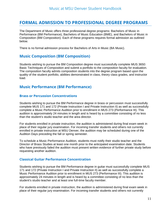# **FORMAL ADMISSION TO PROFESSIONAL DEGREE PROGRAMS**

The Department of Music offers three professional degree programs: Bachelors of Music in Performance (BM Performance), Bachelors of Music Education (BME), and Bachelors of Music in Composition (BM Composition). Each of these programs requires formal admission as outlined below.

There is no formal admission process for Bachelors of Arts in Music (BA Music).

# **Music Composition (BM Composition)**

Students wishing to pursue the BM Composition degree must successfully complete MUS 3650: Basic Techniques of Composition and submit a portfolio to the composition faculty for evaluation. The composition faculty admits composition students into the degree program based upon the quality of the student portfolio, abilities demonstrated in class, theory class grades, and instructor load.

# **Music Performance (BM Performance)**

#### **Brass or Percussion Concentrations**

Students wishing to pursue the BM Performance degree in brass or percussion must successfully complete MUS 171 and 172 (Private Instruction I and Private Instruction II) as well as successfully complete a Music Performance Audition prior to enrollment in MUS 273 (Performance III). This audition is approximately 24 minutes in length and is heard by a committee consisting of no less than the student's studio teacher and the area director.

For students enrolled in private instruction, the audition is administered during final exam week in place of their regular jury examination. For incoming transfer students and others not currently enrolled in private instruction at MSU Denver, the audition may be scheduled during one of the Audition Days preceding the fall or spring semester.

To schedule a Music Performance Audition, students must notify their studio teacher and the Director of Brass Studies at least one month prior to the anticipated examination date. Students who have previously failed the audition must present written evidence of further private study before requesting another audition.

#### **Classical Guitar Performance Concentration**

Students wishing to pursue the BM Performance degree in guitar must successfully complete MUS 171 and 172 (Private Instruction I and Private Instruction II) as well as successfully complete a Music Performance Audition prior to enrollment in MUS 273 (Performance III). This audition is approximately 24 minutes in length and is heard by a committee consisting of no less than the student's studio teacher and at least one full-time faculty member.

For students enrolled in private instruction, the audition is administered during final exam week in place of their regular jury examination. For incoming transfer students and others not currently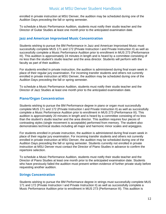enrolled in private instruction at MSU Denver, the audition may be scheduled during one of the Audition Days preceding the fall or spring semester.

To schedule a Music Performance Audition, students must notify their studio teacher and the Director of Guitar Studies at least one month prior to the anticipated examination date.

#### **Jazz and American Improvised Music Concentration**

Students wishing to pursue the BM Performance in Jazz and American Improvised Music must successfully complete MUS 171 and 172 (Private Instruction I and Private Instruction II) as well as successfully complete a Music Performance Audition prior to enrollment in MUS 273 (Performance III). This audition is approximately 24 minutes in length and is heard by a committee consisting of no less than the student's studio teacher and the area director. Students will perform with the faculty as part of their audition.

For students enrolled in private instruction, the audition is administered during final exam week in place of their regular jury examination. For incoming transfer students and others not currently enrolled in private instruction at MSU Denver, the audition may be scheduled during one of the Audition Days preceding the fall or spring semester.

To schedule a Music Performance Audition, students must notify their studio teacher and the Director of Jazz Studies at least one month prior to the anticipated examination date.

#### **Piano/Organ Concentration**

Students wishing to pursue the BM Performance degree in piano or organ must successfully complete MUS 171 and 172 (Private Instruction I and Private Instruction II) as well as successfully complete a Music Performance Audition prior to enrollment in MUS 273 (Performance III). This audition is approximately 20 minutes in length and is heard by a committee consisting of no less than the student's studio teacher and the area director. This audition requires four pieces of contrasting styles (single movement is acceptable) performed from memory. The student also demonstrates technical studies including all major and harmonic minor scales and arpeggios.

For students enrolled in private instruction, the audition is administered during final exam week in place of their regular jury examination. For incoming transfer students and others not currently enrolled in private instruction at MSU Denver, the audition may be scheduled during one of the Audition Days preceding the fall or spring semester. Students currently not enrolled in private instruction at MSU Denver must contact the Director of Piano Studies in advance to confirm the repertoire selection.

To schedule a Music Performance Audition, students must notify their studio teacher and the Director of Piano Studies at least one month prior to the anticipated examination date. Students who have previously failed the audition must present written evidence of further private study before requesting another audition.

#### **Strings Concentration**

Students wishing to pursue the BM Performance degree in strings must successfully complete MUS 171 and 172 (Private Instruction I and Private Instruction II) as well as successfully complete a Music Performance Audition prior to enrollment in MUS 273 (Performance III). This audition is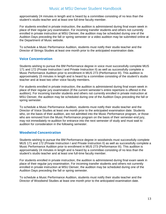approximately 24 minutes in length and is heard by a committee consisting of no less than the student's studio teacher and at least one full-time faculty member.

For students enrolled in private instruction, the audition is administered during final exam week in place of their regular jury examination. For incoming transfer students and others not currently enrolled in private instruction at MSU Denver, the audition may be scheduled during one of the Audition Days preceding the fall or spring semester or a video audition may be submitted online at the Department of Music website.

To schedule a Music Performance Audition, students must notify their studio teacher and the Director of Strings Studies at least one month prior to the anticipated examination date.

#### **Voice Concentration**

Students wishing to pursue the BM Performance degree in voice must successfully complete MUS 171 and 172 (Private Instruction I and Private Instruction II) as well as successfully complete a Music Performance Audition prior to enrollment in MUS 273 (Performance III). This audition is approximately 15 minutes in length and is heard by a committee consisting of the student's studio teacher and at least two other voice faculty members.

For students enrolled in private instruction, the audition is administered during final exam week in place of their regular jury examination (if the current semester's entire repertoire is offered in the audition). For incoming transfer students and others not currently enrolled in private instruction at MSU Denver, the audition may be scheduled during one of the Audition Days preceding the fall or spring semester.

To schedule a Music Performance Audition, students must notify their studio teacher and the Director of Voice Studies at least one month prior to the anticipated examination date. Students who, on the basis of their audition, are not admitted into the Music Performance program, or those who are removed from the Music Performance program on the basis of their semester-end jury, may not immediately re-audition for entrance into the next semester of study and must wait to audition for consideration in the following semester.

#### **Woodwind Concentration**

Students wishing to pursue the BM Performance degree in woodwinds must successfully complete MUS 171 and 172 (Private Instruction I and Private Instruction II) as well as successfully complete a Music Performance Audition prior to enrollment in MUS 273 (Performance III). This audition is approximately 24 minutes in length and is heard by a committee consisting of no less than the student's studio teacher and at least one full-time faculty member.

For students enrolled in private instruction, the audition is administered during final exam week in place of their regular jury examination. For incoming transfer students and others not currently enrolled in private instruction at MSU Denver, the audition may be scheduled during one of the Audition Days preceding the fall or spring semester.

To schedule a Music Performance Audition, students must notify their studio teacher and the Director of Woodwind Studies at least one month prior to the anticipated examination date.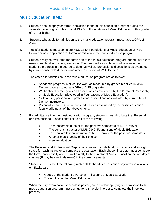# **Music Education (BME)**

- 1. Students should apply for formal admission to the music education program during the semester following completion of MUS 2340: Foundations of Music Education with a grade of "C-" or higher.
- 2. Students who apply for admission to the music education program must have a GPA of 2.75.
- 3. Transfer students must complete MUS 2340: Foundations of Music Education at MSU Denver prior to application for formal admission to the music education program.
- 4. Students may be evaluated for admission to the music education program during final exam week in each fall and spring semester. The music education faculty will evaluate the student's progress in the degree to date, as well as professional dispositions as evaluated by current ensemble directors and other instructors at MSU Denver.
- 5. The criteria for admission to the music education program are as follows:
	- Academic progress in all course work as measured by grades received in MSU Denver courses to equal a GPA of 2.75 or greater.
	- Well-defined career goals and aspirations as evidenced by the Personal Philosophy of Music Education (developed in Foundations of Music Education).
	- Outstanding personal and professional dispositions as evaluated by current MSU Denver instructors.
	- Potential for success as a music educator as evaluated by the music education faculty utilizing all of the above criteria.
- 6. For admittance into the music education program, students must distribute the "Personal and Professional Dispositions" link to all of the following:
	- Each ensemble director for the past two semesters at MSU Denver
	- The current instructor of MUS 2340: Foundations of Music Education
	- Each private lesson instructor at MSU Denver for the past two semesters
	- Another music faculty of their choice
	- A self-evaluation

The Personal and Professional Dispositions link will include brief instructions and enough space for each instructor to complete the evaluation. Each chosen instructor must complete the form confidentially and return it directly to the Director of Music Education the last day of classes (Friday before finals week) in the current semester.

- 7. Students must submit the following materials to the Music Education organization available on Blackboard:
	- A copy of the student's Personal Philosophy of Music Education
	- The Application for Music Education
- 8. When the jury examination schedule is posted, each student applying for admission to the music education program must sign up for a time slot in order to complete the interview process.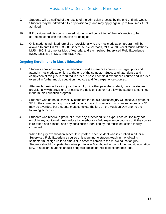- 9. Students will be notified of the results of the admission process by the end of finals week. Students may be admitted fully or provisionally, and may apply again up to two times if not admitted.
- 10. If Provisional Admission is granted, students will be notified of the deficiencies to be corrected along with the deadline for doing so.
- 11. Only students admitted formally or provisionally to the music education program will be allowed to enroll in MUS 3350: General Music Methods, MUS 4370: Vocal Music Methods, MUS 4360: Instrumental Music Methods, and each paired Supervised Field Experience (MUS 3351, MUS 4371, and MUS 4361).

#### **Ongoing Enrollment in Music Education**

- 1. Students enrolled in any music education field experience course must sign up for and attend a music education jury at the end of the semester. Successful attendance and completion of this jury is required in order to pass each field experience course and in order to enroll in further music education methods and field experience courses.
- 2. After each music education jury, the faculty will either pass the student, pass the student provisionally with provisions for correcting deficiencies, or not allow the student to continue in the music education program.
- 3. Students who do not successfully complete the music education jury will receive a grade of "F" for the corresponding music education course. In special circumstances, a grade of "I" may be awarded, but students must complete the jury on the Audition Day prior to the following semester.
- 4. Students who receive a grade of "F" for any supervised field experience course may not enroll in any additional music education methods or field experience courses until the course is re-taken and passed, and any deficiencies identified by the music education faculty corrected.
- 5. When the jury examination schedule is posted, each student who is enrolled in either a Supervised Field Experience course or is planning to student teach in the following semester must sign up for a time slot in order to complete the music education jury. Students should complete the online portfolio in Blackboard as part of their music education jury. In addition, students should bring two copies of their field experience logs.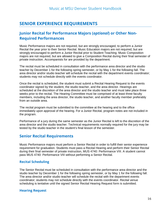# **SENIOR EXPERIENCE REQUIREMENTS**

# **Junior Recital for Performance Majors (***optional***) or Other Non-Required Performances**

Music Performance majors are not required, but are strongly encouraged, to perform a Junior Recital the year prior to their Senior Recital. Music Education majors are not required, but are strongly encouraged to perform a Junior Recital prior to Student Teaching. Music Composition majors are not required, but are allowed to give a Composition Recital during their final semester of private instruction. Accompanists for are provided by the department.

The recital must be scheduled in consultation with the performance area director and the studio teacher by December 1 for the following spring semester, or by May 1 for the following fall. The area director and/or studio teacher will schedule the recital with the department events coordinator; students may not schedule directly with the events coordinator.

Once the recital is scheduled, the student must submit a Recital Hearing Request to the events coordinator signed by the student, the studio teacher, and the area director. Hearings are scheduled at the discretion of the area director and the studio teacher and must take place three weeks prior to the recital. The Hearing Committee must be comprised of at least three faculty members, including the area director, the studio teacher, and another faculty member preferably from an outside area.

The recital program must be submitted to the committee at the hearing and to the office immediately upon approval of the hearing. For a Junior Recital, program notes are not included in the program.

Performance of a jury during the same semester as the Junior Recital is left to the discretion of the area director and the studio teacher. Technical requirements normally required for the jury may be tested by the studio teacher in the student's final lesson of the semester.

# **Senior Recital Requirements**

Music Performance majors must perform a Senior Recital in order to fulfill their senior experience requirement for graduation. Students must pass a Recital Hearing and perform their Senior Recital during their final semester of private instruction, MUS 4740: Performance VIII. A student cannot pass MUS 4740: Performance VIII without performing a Senior Recital.

#### **Recital Scheduling**

The Senior Recital must be scheduled in consultation with the performance area director and the studio teacher by December 1 for the following spring semester, or by May 1 for the following fall. The area director and/or studio teacher will schedule the recital with the department events coordinator; students may not schedule directly with the events coordinator. Recital venue scheduling is tentative until the signed Senior Recital Hearing Request form is submitted.

#### **Hearing Request**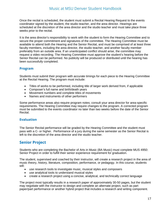Once the recital is scheduled, the student must submit a Recital Hearing Request to the events coordinator signed by the student, the studio teacher, and the area director. Hearings are scheduled at the discretion of the area director and the studio teacher and must take place three weeks prior to the recital.

It is the area director's responsibility to work with the student to form the Hearing Committee and to secure the proper commitment and signatures of the committee. The Hearing Committee must be available to attend both the Hearing and the Senior Recital, and must be comprised of at least three faculty members, including the area director, the studio teacher, and another faculty member preferably from an outside area. If an unanticipated conflict should arise, the committee may request a video recording. The Hearing Committee must approve the student's hearing before the Senior Recital can be performed. No publicity will be produced or distributed until the hearing has been successfully completed.

#### **Program**

Students must submit their program with accurate timings for each piece to the Hearing Committee at the Recital Hearing. The program must include:

- Titles of works to be performed, including title of larger work derived from, if applicable
- Composer's full name and birth/death years
- Movement numbers and complete titles of movements
- Names and instruments of other performers

Some performance areas also require program notes; consult your area director for area-specific requirements. The Hearing Committee may require changes to the program. A corrected program must be submitted to the events coordinator no later than two weeks before the date of the Senior Recital.

#### **Evaluation**

The Senior Recital performance will be graded by the Hearing Committee and the student must pass with a C- or higher. Performance of a jury during the same semester as the Senior Recital is left to the discretion of the area director and the studio teacher.

# **Senior Project**

Students who are completing the Bachelor of Arts in Music (BA Music) must complete MUS 4950: Senior Project in order to fulfill their senior experience requirement for graduation.

The student, supervised and coached by their instructor, will create a research project in the area of music theory, history, literature, composition, performance, or pedagogy. In this course, students will:

- use research tools to investigate music, musical styles and composers
- use analytical tools to understand musical styles
- create a research project using a concise, analytical, and technically correct language

The project most typically results in a research paper of approximately 30-50 pages, but the student may negotiate with the instructor to design and complete an alternate project, such as part paper/part performance or another hybrid project that includes a research and writing component.